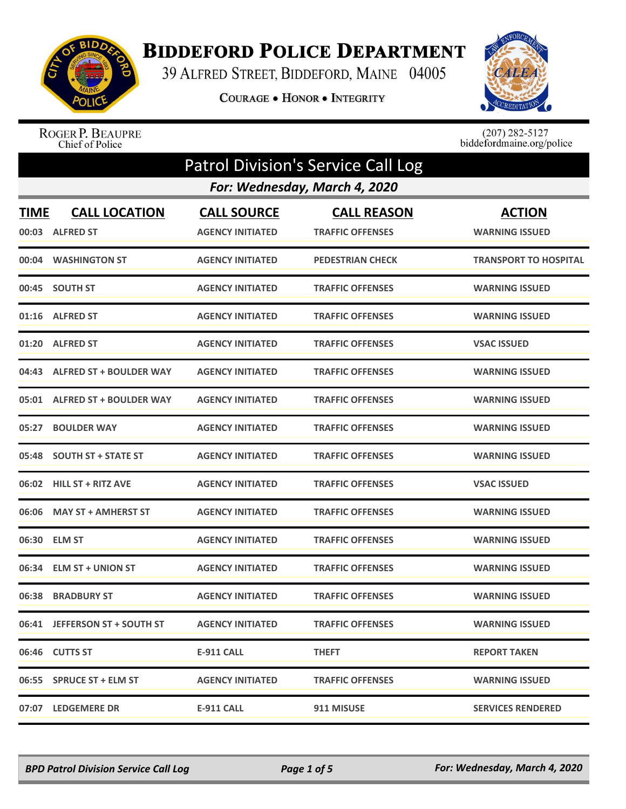

## **BIDDEFORD POLICE DEPARTMENT**

39 ALFRED STREET, BIDDEFORD, MAINE 04005

COURAGE . HONOR . INTEGRITY



ROGER P. BEAUPRE<br>Chief of Police

 $(207)$  282-5127<br>biddefordmaine.org/police

|                      | <b>Patrol Division's Service Call Log</b> |                                               |                                               |                                        |  |
|----------------------|-------------------------------------------|-----------------------------------------------|-----------------------------------------------|----------------------------------------|--|
|                      |                                           |                                               | For: Wednesday, March 4, 2020                 |                                        |  |
| <b>TIME</b><br>00:03 | <b>CALL LOCATION</b><br><b>ALFRED ST</b>  | <b>CALL SOURCE</b><br><b>AGENCY INITIATED</b> | <b>CALL REASON</b><br><b>TRAFFIC OFFENSES</b> | <b>ACTION</b><br><b>WARNING ISSUED</b> |  |
| 00:04                | <b>WASHINGTON ST</b>                      | <b>AGENCY INITIATED</b>                       | <b>PEDESTRIAN CHECK</b>                       | <b>TRANSPORT TO HOSPITAL</b>           |  |
|                      | 00:45 SOUTH ST                            | <b>AGENCY INITIATED</b>                       | <b>TRAFFIC OFFENSES</b>                       | <b>WARNING ISSUED</b>                  |  |
| 01:16                | <b>ALFRED ST</b>                          | <b>AGENCY INITIATED</b>                       | <b>TRAFFIC OFFENSES</b>                       | <b>WARNING ISSUED</b>                  |  |
|                      | 01:20 ALFRED ST                           | <b>AGENCY INITIATED</b>                       | <b>TRAFFIC OFFENSES</b>                       | <b>VSAC ISSUED</b>                     |  |
| 04:43                | <b>ALFRED ST + BOULDER WAY</b>            | <b>AGENCY INITIATED</b>                       | <b>TRAFFIC OFFENSES</b>                       | <b>WARNING ISSUED</b>                  |  |
| 05:01                | <b>ALFRED ST + BOULDER WAY</b>            | <b>AGENCY INITIATED</b>                       | <b>TRAFFIC OFFENSES</b>                       | <b>WARNING ISSUED</b>                  |  |
| 05:27                | <b>BOULDER WAY</b>                        | <b>AGENCY INITIATED</b>                       | <b>TRAFFIC OFFENSES</b>                       | <b>WARNING ISSUED</b>                  |  |
| 05:48                | <b>SOUTH ST + STATE ST</b>                | <b>AGENCY INITIATED</b>                       | <b>TRAFFIC OFFENSES</b>                       | <b>WARNING ISSUED</b>                  |  |
| 06:02                | <b>HILL ST + RITZ AVE</b>                 | <b>AGENCY INITIATED</b>                       | <b>TRAFFIC OFFENSES</b>                       | <b>VSAC ISSUED</b>                     |  |
| 06:06                | <b>MAY ST + AMHERST ST</b>                | <b>AGENCY INITIATED</b>                       | <b>TRAFFIC OFFENSES</b>                       | <b>WARNING ISSUED</b>                  |  |
|                      | 06:30 ELM ST                              | <b>AGENCY INITIATED</b>                       | <b>TRAFFIC OFFENSES</b>                       | <b>WARNING ISSUED</b>                  |  |
| 06:34                | <b>ELM ST + UNION ST</b>                  | <b>AGENCY INITIATED</b>                       | <b>TRAFFIC OFFENSES</b>                       | <b>WARNING ISSUED</b>                  |  |
| 06:38                | <b>BRADBURY ST</b>                        | <b>AGENCY INITIATED</b>                       | <b>TRAFFIC OFFENSES</b>                       | <b>WARNING ISSUED</b>                  |  |
|                      | 06:41 JEFFERSON ST + SOUTH ST             | <b>AGENCY INITIATED</b>                       | <b>TRAFFIC OFFENSES</b>                       | <b>WARNING ISSUED</b>                  |  |
|                      | 06:46 CUTTS ST                            | <b>E-911 CALL</b>                             | <b>THEFT</b>                                  | <b>REPORT TAKEN</b>                    |  |
|                      | 06:55 SPRUCE ST + ELM ST                  | <b>AGENCY INITIATED</b>                       | <b>TRAFFIC OFFENSES</b>                       | <b>WARNING ISSUED</b>                  |  |
|                      | 07:07 LEDGEMERE DR                        | E-911 CALL                                    | 911 MISUSE                                    | <b>SERVICES RENDERED</b>               |  |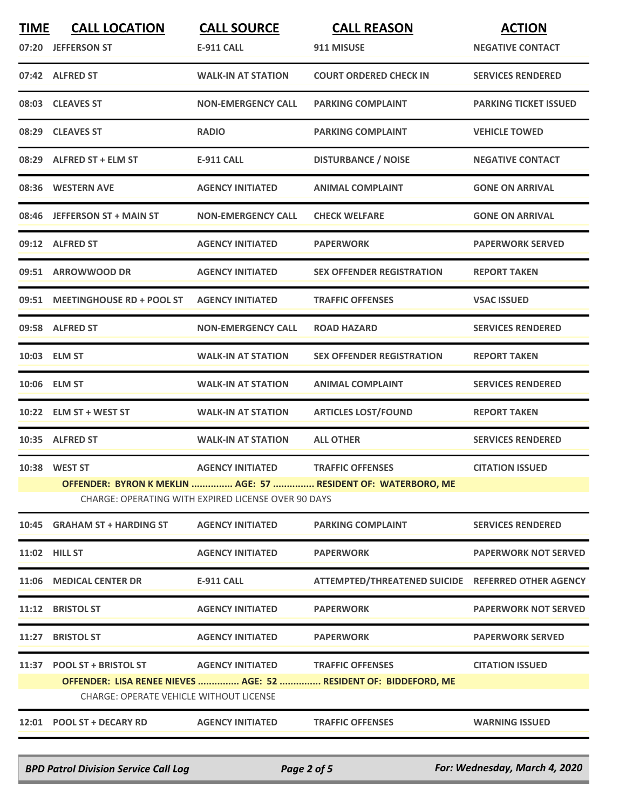| <b>TIME</b> | <b>CALL LOCATION</b>                           | <b>CALL SOURCE</b>                                  | <b>CALL REASON</b>                                               | <b>ACTION</b>                |
|-------------|------------------------------------------------|-----------------------------------------------------|------------------------------------------------------------------|------------------------------|
| 07:20       | <b>JEFFERSON ST</b>                            | <b>E-911 CALL</b>                                   | 911 MISUSE                                                       | <b>NEGATIVE CONTACT</b>      |
|             | 07:42 ALFRED ST                                | <b>WALK-IN AT STATION</b>                           | <b>COURT ORDERED CHECK IN</b>                                    | <b>SERVICES RENDERED</b>     |
|             | 08:03 CLEAVES ST                               | <b>NON-EMERGENCY CALL</b>                           | <b>PARKING COMPLAINT</b>                                         | <b>PARKING TICKET ISSUED</b> |
|             | 08:29 CLEAVES ST                               | <b>RADIO</b>                                        | <b>PARKING COMPLAINT</b>                                         | <b>VEHICLE TOWED</b>         |
|             | 08:29 ALFRED ST + ELM ST                       | <b>E-911 CALL</b>                                   | <b>DISTURBANCE / NOISE</b>                                       | <b>NEGATIVE CONTACT</b>      |
|             | 08:36 WESTERN AVE                              | <b>AGENCY INITIATED</b>                             | <b>ANIMAL COMPLAINT</b>                                          | <b>GONE ON ARRIVAL</b>       |
| 08:46       | <b>JEFFERSON ST + MAIN ST</b>                  | <b>NON-EMERGENCY CALL</b>                           | <b>CHECK WELFARE</b>                                             | <b>GONE ON ARRIVAL</b>       |
|             | 09:12 ALFRED ST                                | <b>AGENCY INITIATED</b>                             | <b>PAPERWORK</b>                                                 | <b>PAPERWORK SERVED</b>      |
|             | 09:51 ARROWWOOD DR                             | <b>AGENCY INITIATED</b>                             | <b>SEX OFFENDER REGISTRATION</b>                                 | <b>REPORT TAKEN</b>          |
|             | 09:51 MEETINGHOUSE RD + POOL ST                | <b>AGENCY INITIATED</b>                             | <b>TRAFFIC OFFENSES</b>                                          | <b>VSAC ISSUED</b>           |
|             | 09:58 ALFRED ST                                | <b>NON-EMERGENCY CALL</b>                           | <b>ROAD HAZARD</b>                                               | <b>SERVICES RENDERED</b>     |
|             | 10:03 ELM ST                                   | <b>WALK-IN AT STATION</b>                           | <b>SEX OFFENDER REGISTRATION</b>                                 | <b>REPORT TAKEN</b>          |
|             | 10:06 ELM ST                                   | <b>WALK-IN AT STATION</b>                           | <b>ANIMAL COMPLAINT</b>                                          | <b>SERVICES RENDERED</b>     |
| 10:22       | <b>ELM ST + WEST ST</b>                        | <b>WALK-IN AT STATION</b>                           | <b>ARTICLES LOST/FOUND</b>                                       | <b>REPORT TAKEN</b>          |
|             | 10:35 ALFRED ST                                | <b>WALK-IN AT STATION</b>                           | <b>ALL OTHER</b>                                                 | <b>SERVICES RENDERED</b>     |
|             | 10:38 WEST ST                                  | <b>AGENCY INITIATED</b>                             | <b>TRAFFIC OFFENSES</b>                                          | <b>CITATION ISSUED</b>       |
|             |                                                | CHARGE: OPERATING WITH EXPIRED LICENSE OVER 90 DAYS | OFFENDER: BYRON K MEKLIN  AGE: 57  RESIDENT OF: WATERBORO, ME    |                              |
|             |                                                |                                                     |                                                                  |                              |
|             | 10:45 GRAHAM ST + HARDING ST                   | <b>AGENCY INITIATED</b>                             | <b>PARKING COMPLAINT</b>                                         | <b>SERVICES RENDERED</b>     |
|             | <b>11:02 HILL ST</b>                           | <b>AGENCY INITIATED</b>                             | <b>PAPERWORK</b>                                                 | <b>PAPERWORK NOT SERVED</b>  |
|             | 11:06 MEDICAL CENTER DR                        | <b>E-911 CALL</b>                                   | ATTEMPTED/THREATENED SUICIDE REFERRED OTHER AGENCY               |                              |
|             | 11:12 BRISTOL ST                               | <b>AGENCY INITIATED</b>                             | <b>PAPERWORK</b>                                                 | <b>PAPERWORK NOT SERVED</b>  |
| 11:27       | <b>BRISTOL ST</b>                              | <b>AGENCY INITIATED</b>                             | <b>PAPERWORK</b>                                                 | <b>PAPERWORK SERVED</b>      |
|             | 11:37 POOL ST + BRISTOL ST                     | <b>AGENCY INITIATED</b>                             | <b>TRAFFIC OFFENSES</b>                                          | <b>CITATION ISSUED</b>       |
|             |                                                |                                                     | OFFENDER: LISA RENEE NIEVES  AGE: 52  RESIDENT OF: BIDDEFORD, ME |                              |
|             | <b>CHARGE: OPERATE VEHICLE WITHOUT LICENSE</b> |                                                     |                                                                  |                              |
|             | 12:01 POOL ST + DECARY RD                      | <b>AGENCY INITIATED</b>                             | <b>TRAFFIC OFFENSES</b>                                          | <b>WARNING ISSUED</b>        |

*BPD Patrol Division Service Call Log Page 2 of 5 For: Wednesday, March 4, 2020*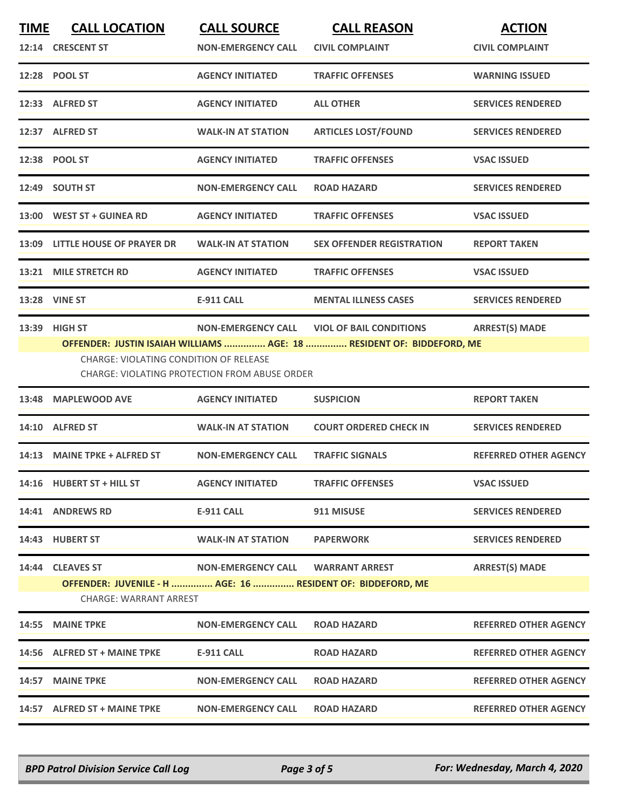| <b>TIME</b> | <b>CALL LOCATION</b><br>12:14 CRESCENT ST                                                                        | <b>CALL SOURCE</b><br><b>NON-EMERGENCY CALL</b>                                   | <b>CALL REASON</b><br><b>CIVIL COMPLAINT</b>                                                            | <b>ACTION</b><br><b>CIVIL COMPLAINT</b> |
|-------------|------------------------------------------------------------------------------------------------------------------|-----------------------------------------------------------------------------------|---------------------------------------------------------------------------------------------------------|-----------------------------------------|
|             | 12:28 POOL ST                                                                                                    | <b>AGENCY INITIATED</b>                                                           | <b>TRAFFIC OFFENSES</b>                                                                                 | <b>WARNING ISSUED</b>                   |
|             | 12:33 ALFRED ST                                                                                                  | <b>AGENCY INITIATED</b>                                                           | <b>ALL OTHER</b>                                                                                        | <b>SERVICES RENDERED</b>                |
|             | 12:37 ALFRED ST                                                                                                  | <b>WALK-IN AT STATION</b>                                                         | <b>ARTICLES LOST/FOUND</b>                                                                              | <b>SERVICES RENDERED</b>                |
|             | 12:38 POOL ST                                                                                                    | <b>AGENCY INITIATED</b>                                                           | <b>TRAFFIC OFFENSES</b>                                                                                 | <b>VSAC ISSUED</b>                      |
|             | 12:49 SOUTH ST                                                                                                   | <b>NON-EMERGENCY CALL</b>                                                         | <b>ROAD HAZARD</b>                                                                                      | <b>SERVICES RENDERED</b>                |
|             | 13:00 WEST ST + GUINEA RD                                                                                        | <b>AGENCY INITIATED</b>                                                           | <b>TRAFFIC OFFENSES</b>                                                                                 | <b>VSAC ISSUED</b>                      |
|             | 13:09 LITTLE HOUSE OF PRAYER DR                                                                                  | <b>WALK-IN AT STATION</b>                                                         | <b>SEX OFFENDER REGISTRATION</b>                                                                        | <b>REPORT TAKEN</b>                     |
|             | 13:21 MILE STRETCH RD                                                                                            | <b>AGENCY INITIATED</b>                                                           | <b>TRAFFIC OFFENSES</b>                                                                                 | <b>VSAC ISSUED</b>                      |
|             | 13:28 VINE ST                                                                                                    | <b>E-911 CALL</b>                                                                 | <b>MENTAL ILLNESS CASES</b>                                                                             | <b>SERVICES RENDERED</b>                |
| 13:39       | <b>HIGH ST</b><br>CHARGE: VIOLATING CONDITION OF RELEASE                                                         | <b>NON-EMERGENCY CALL</b><br><b>CHARGE: VIOLATING PROTECTION FROM ABUSE ORDER</b> | <b>VIOL OF BAIL CONDITIONS</b><br>OFFENDER: JUSTIN ISAIAH WILLIAMS  AGE: 18  RESIDENT OF: BIDDEFORD, ME | <b>ARREST(S) MADE</b>                   |
| 13:48       | <b>MAPLEWOOD AVE</b>                                                                                             | <b>AGENCY INITIATED</b>                                                           | <b>SUSPICION</b>                                                                                        | <b>REPORT TAKEN</b>                     |
|             | 14:10 ALFRED ST                                                                                                  | <b>WALK-IN AT STATION</b>                                                         | <b>COURT ORDERED CHECK IN</b>                                                                           | <b>SERVICES RENDERED</b>                |
|             | 14:13 MAINE TPKE + ALFRED ST                                                                                     | <b>NON-EMERGENCY CALL</b>                                                         | <b>TRAFFIC SIGNALS</b>                                                                                  | <b>REFERRED OTHER AGENCY</b>            |
|             | 14:16 HUBERT ST + HILL ST                                                                                        | <b>AGENCY INITIATED</b>                                                           | <b>TRAFFIC OFFENSES</b>                                                                                 | <b>VSAC ISSUED</b>                      |
|             | 14:41 ANDREWS RD                                                                                                 | <b>E-911 CALL</b>                                                                 | 911 MISUSE                                                                                              | <b>SERVICES RENDERED</b>                |
|             | 14:43 HUBERT ST                                                                                                  | <b>WALK-IN AT STATION</b>                                                         | <b>PAPERWORK</b>                                                                                        | <b>SERVICES RENDERED</b>                |
|             | 14:44 CLEAVES ST<br>OFFENDER: JUVENILE - H  AGE: 16  RESIDENT OF: BIDDEFORD, ME<br><b>CHARGE: WARRANT ARREST</b> | <b>NON-EMERGENCY CALL</b>                                                         | <b>WARRANT ARREST</b>                                                                                   | <b>ARREST(S) MADE</b>                   |
|             | 14:55 MAINE TPKE                                                                                                 | <b>NON-EMERGENCY CALL</b>                                                         | <b>ROAD HAZARD</b>                                                                                      | <b>REFERRED OTHER AGENCY</b>            |
|             | 14:56 ALFRED ST + MAINE TPKE                                                                                     | <b>E-911 CALL</b>                                                                 | <b>ROAD HAZARD</b>                                                                                      | <b>REFERRED OTHER AGENCY</b>            |
|             | 14:57 MAINE TPKE                                                                                                 | <b>NON-EMERGENCY CALL</b>                                                         | <b>ROAD HAZARD</b>                                                                                      | <b>REFERRED OTHER AGENCY</b>            |
|             | 14:57 ALFRED ST + MAINE TPKE                                                                                     | <b>NON-EMERGENCY CALL</b>                                                         | <b>ROAD HAZARD</b>                                                                                      | <b>REFERRED OTHER AGENCY</b>            |
|             |                                                                                                                  |                                                                                   |                                                                                                         |                                         |

*BPD Patrol Division Service Call Log Page 3 of 5 For: Wednesday, March 4, 2020*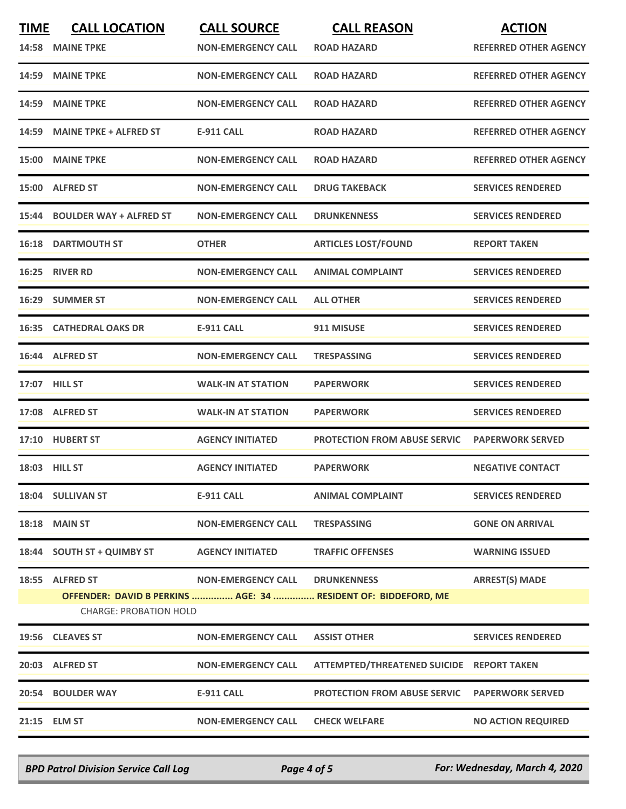| <b>TIME</b> | <b>CALL LOCATION</b>           | <b>CALL SOURCE</b>        | <b>CALL REASON</b>                                             | <b>ACTION</b>                |
|-------------|--------------------------------|---------------------------|----------------------------------------------------------------|------------------------------|
|             | 14:58 MAINE TPKE               | <b>NON-EMERGENCY CALL</b> | <b>ROAD HAZARD</b>                                             | <b>REFERRED OTHER AGENCY</b> |
| 14:59       | <b>MAINE TPKE</b>              | <b>NON-EMERGENCY CALL</b> | <b>ROAD HAZARD</b>                                             | <b>REFERRED OTHER AGENCY</b> |
| 14:59       | <b>MAINE TPKE</b>              | <b>NON-EMERGENCY CALL</b> | <b>ROAD HAZARD</b>                                             | <b>REFERRED OTHER AGENCY</b> |
|             | 14:59 MAINE TPKE + ALFRED ST   | <b>E-911 CALL</b>         | <b>ROAD HAZARD</b>                                             | <b>REFERRED OTHER AGENCY</b> |
| 15:00       | <b>MAINE TPKE</b>              | <b>NON-EMERGENCY CALL</b> | <b>ROAD HAZARD</b>                                             | <b>REFERRED OTHER AGENCY</b> |
|             | 15:00 ALFRED ST                | <b>NON-EMERGENCY CALL</b> | <b>DRUG TAKEBACK</b>                                           | <b>SERVICES RENDERED</b>     |
| 15:44       | <b>BOULDER WAY + ALFRED ST</b> | <b>NON-EMERGENCY CALL</b> | <b>DRUNKENNESS</b>                                             | <b>SERVICES RENDERED</b>     |
|             | <b>16:18 DARTMOUTH ST</b>      | <b>OTHER</b>              | <b>ARTICLES LOST/FOUND</b>                                     | <b>REPORT TAKEN</b>          |
|             | 16:25 RIVER RD                 | <b>NON-EMERGENCY CALL</b> | <b>ANIMAL COMPLAINT</b>                                        | <b>SERVICES RENDERED</b>     |
| 16:29       | <b>SUMMER ST</b>               | <b>NON-EMERGENCY CALL</b> | <b>ALL OTHER</b>                                               | <b>SERVICES RENDERED</b>     |
|             | 16:35 CATHEDRAL OAKS DR        | <b>E-911 CALL</b>         | 911 MISUSE                                                     | <b>SERVICES RENDERED</b>     |
|             | 16:44 ALFRED ST                | <b>NON-EMERGENCY CALL</b> | <b>TRESPASSING</b>                                             | <b>SERVICES RENDERED</b>     |
|             | 17:07 HILL ST                  | <b>WALK-IN AT STATION</b> | <b>PAPERWORK</b>                                               | <b>SERVICES RENDERED</b>     |
|             | 17:08 ALFRED ST                | <b>WALK-IN AT STATION</b> | <b>PAPERWORK</b>                                               | <b>SERVICES RENDERED</b>     |
|             | 17:10 HUBERT ST                | <b>AGENCY INITIATED</b>   | <b>PROTECTION FROM ABUSE SERVIC</b>                            | <b>PAPERWORK SERVED</b>      |
|             | <b>18:03 HILL ST</b>           | <b>AGENCY INITIATED</b>   | <b>PAPERWORK</b>                                               | <b>NEGATIVE CONTACT</b>      |
|             | 18:04 SULLIVAN ST              | E-911 CALL                | <b>ANIMAL COMPLAINT</b>                                        | <b>SERVICES RENDERED</b>     |
|             | <b>18:18 MAIN ST</b>           | <b>NON-EMERGENCY CALL</b> | <b>TRESPASSING</b>                                             | <b>GONE ON ARRIVAL</b>       |
|             | 18:44 SOUTH ST + QUIMBY ST     | <b>AGENCY INITIATED</b>   | <b>TRAFFIC OFFENSES</b>                                        | <b>WARNING ISSUED</b>        |
|             | 18:55 ALFRED ST                | <b>NON-EMERGENCY CALL</b> | <b>DRUNKENNESS</b>                                             | <b>ARREST(S) MADE</b>        |
|             | <b>CHARGE: PROBATION HOLD</b>  |                           | OFFENDER: DAVID B PERKINS  AGE: 34  RESIDENT OF: BIDDEFORD, ME |                              |
|             | 19:56 CLEAVES ST               | <b>NON-EMERGENCY CALL</b> | <b>ASSIST OTHER</b>                                            | <b>SERVICES RENDERED</b>     |
|             | 20:03 ALFRED ST                | <b>NON-EMERGENCY CALL</b> | ATTEMPTED/THREATENED SUICIDE REPORT TAKEN                      |                              |
|             | 20:54 BOULDER WAY              | <b>E-911 CALL</b>         | <b>PROTECTION FROM ABUSE SERVIC</b>                            | <b>PAPERWORK SERVED</b>      |
|             | 21:15 ELM ST                   | <b>NON-EMERGENCY CALL</b> | <b>CHECK WELFARE</b>                                           | <b>NO ACTION REQUIRED</b>    |

*BPD Patrol Division Service Call Log Page 4 of 5 For: Wednesday, March 4, 2020*